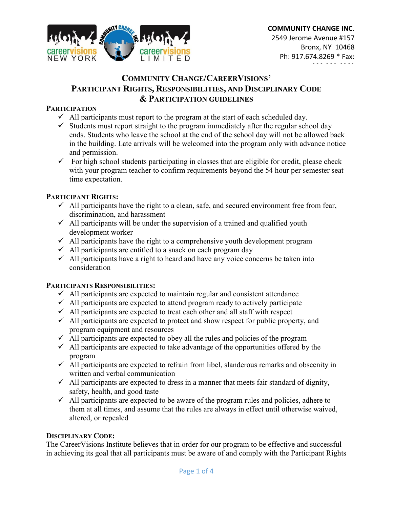

# **COMMUNITY CHANGE/CAREERVISIONS' PARTICIPANT RIGHTS, RESPONSIBILITIES, AND DISCIPLINARY CODE & PARTICIPATION GUIDELINES**

#### **PARTICIPATION**

- $\checkmark$  All participants must report to the program at the start of each scheduled day.
- $\checkmark$  Students must report straight to the program immediately after the regular school day ends. Students who leave the school at the end of the school day will not be allowed back in the building. Late arrivals will be welcomed into the program only with advance notice and permission.
- $\checkmark$  For high school students participating in classes that are eligible for credit, please check with your program teacher to confirm requirements beyond the 54 hour per semester seat time expectation.

#### **PARTICIPANT RIGHTS:**

- $\checkmark$  All participants have the right to a clean, safe, and secured environment free from fear, discrimination, and harassment
- $\checkmark$  All participants will be under the supervision of a trained and qualified youth development worker
- $\checkmark$  All participants have the right to a comprehensive youth development program
- $\checkmark$  All participants are entitled to a snack on each program day
- $\checkmark$  All participants have a right to heard and have any voice concerns be taken into consideration

#### **PARTICIPANTS RESPONSIBILITIES:**

- $\checkmark$  All participants are expected to maintain regular and consistent attendance
- $\checkmark$  All participants are expected to attend program ready to actively participate
- $\checkmark$  All participants are expected to treat each other and all staff with respect
- $\checkmark$  All participants are expected to protect and show respect for public property, and program equipment and resources
- $\checkmark$  All participants are expected to obey all the rules and policies of the program
- $\checkmark$  All participants are expected to take advantage of the opportunities offered by the program
- $\checkmark$  All participants are expected to refrain from libel, slanderous remarks and obscenity in written and verbal communication
- $\checkmark$  All participants are expected to dress in a manner that meets fair standard of dignity, safety, health, and good taste
- $\checkmark$  All participants are expected to be aware of the program rules and policies, adhere to them at all times, and assume that the rules are always in effect until otherwise waived, altered, or repealed

#### **DISCIPLINARY CODE:**

The CareerVisions Institute believes that in order for our program to be effective and successful in achieving its goal that all participants must be aware of and comply with the Participant Rights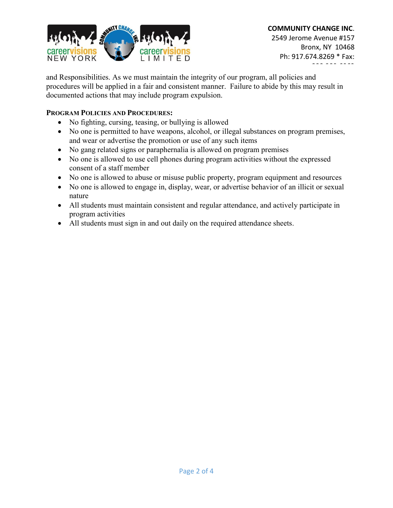

and Responsibilities. As we must maintain the integrity of our program, all policies and procedures will be applied in a fair and consistent manner. Failure to abide by this may result in documented actions that may include program expulsion.

#### **PROGRAM POLICIES AND PROCEDURES:**

- No fighting, cursing, teasing, or bullying is allowed
- No one is permitted to have weapons, alcohol, or illegal substances on program premises, and wear or advertise the promotion or use of any such items
- No gang related signs or paraphernalia is allowed on program premises
- No one is allowed to use cell phones during program activities without the expressed consent of a staff member
- No one is allowed to abuse or misuse public property, program equipment and resources
- No one is allowed to engage in, display, wear, or advertise behavior of an illicit or sexual nature
- All students must maintain consistent and regular attendance, and actively participate in program activities
- All students must sign in and out daily on the required attendance sheets.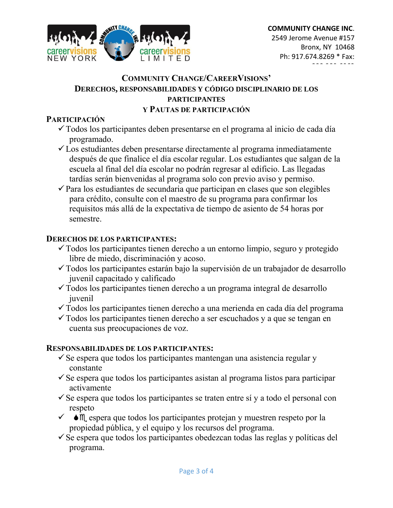

## **COMMUNITY CHANGE/CAREERVISIONS' DERECHOS, RESPONSABILIDADES Y CÓDIGO DISCIPLINARIO DE LOS PARTICIPANTES Y PAUTAS DE PARTICIPACIÓN**

## **PARTICIPACIÓN**

- Todos los participantes deben presentarse en el programa al inicio de cada día programado.
- Los estudiantes deben presentarse directamente al programa inmediatamente después de que finalice el día escolar regular. Los estudiantes que salgan de la escuela al final del día escolar no podrán regresar al edificio. Las llegadas tardías serán bienvenidas al programa solo con previo aviso y permiso.
- $\checkmark$  Para los estudiantes de secundaria que participan en clases que son elegibles para crédito, consulte con el maestro de su programa para confirmar los requisitos más allá de la expectativa de tiempo de asiento de 54 horas por semestre.

## **DERECHOS DE LOS PARTICIPANTES:**

- Todos los participantes tienen derecho a un entorno limpio, seguro y protegido libre de miedo, discriminación y acoso.
- $\checkmark$  Todos los participantes estarán bajo la supervisión de un trabajador de desarrollo juvenil capacitado y calificado
- $\checkmark$  Todos los participantes tienen derecho a un programa integral de desarrollo juvenil
- Todos los participantes tienen derecho a una merienda en cada día del programa
- $\checkmark$  Todos los participantes tienen derecho a ser escuchados y a que se tengan en cuenta sus preocupaciones de voz.

# **RESPONSABILIDADES DE LOS PARTICIPANTES:**

- $\checkmark$  Se espera que todos los participantes mantengan una asistencia regular y constante
- $\checkmark$  Se espera que todos los participantes asistan al programa listos para participar activamente
- $\checkmark$  Se espera que todos los participantes se traten entre sí y a todo el personal con respeto
- $\checkmark$   $\bullet$   $\mathbb{M}$  espera que todos los participantes protejan y muestren respeto por la propiedad pública, y el equipo y los recursos del programa.
- $\checkmark$  Se espera que todos los participantes obedezcan todas las reglas y políticas del programa.